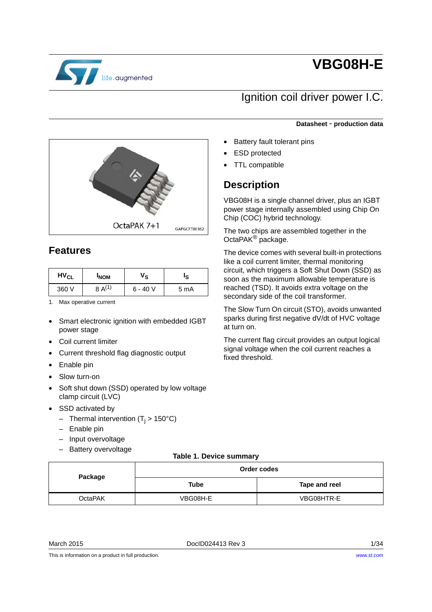

# **VBG08H-E**

# Ignition coil driver power I.C.

**Datasheet** - **production data**

- Battery fault tolerant pins **ESD** protected
	- TTL compatible

# **Description**

VBG08H is a single channel driver, plus an IGBT power stage internally assembled using Chip On Chip (COC) hybrid technology.

The two chips are assembled together in the OctaPAK® package.

The device comes with several built-in protections like a coil current limiter, thermal monitoring circuit, which triggers a Soft Shut Down (SSD) as soon as the maximum allowable temperature is reached (TSD). It avoids extra voltage on the secondary side of the coil transformer.

The Slow Turn On circuit (STO), avoids unwanted sparks during first negative dV/dt of HVC voltage at turn on.

The current flag circuit provides an output logical signal voltage when the coil current reaches a fixed threshold.



## **Features**

| <b>HV<sub>CL</sub></b> | <b>INOM</b>    | 's        |      |
|------------------------|----------------|-----------|------|
| 360 V                  | $A^{(1)}$<br>8 | $6 - 40V$ | 5 mA |

1. Max operative current

- Smart electronic ignition with embedded IGBT power stage
- Coil current limiter
- Current threshold flag diagnostic output
- Enable pin
- Slow turn-on
- Soft shut down (SSD) operated by low voltage clamp circuit (LVC)
- SSD activated by
	- Thermal intervention ( $T_i > 150^{\circ}$ C)
	- Enable pin
	- Input overvoltage
	- Battery overvoltage

#### **Table 1. Device summary**

<span id="page-0-0"></span>

|         |          | Order codes   |  |  |
|---------|----------|---------------|--|--|
| Package | Tube     | Tape and reel |  |  |
| OctaPAK | VBG08H-E | VBG08HTR-E    |  |  |

March 2015 DocID024413 Rev 3 1/34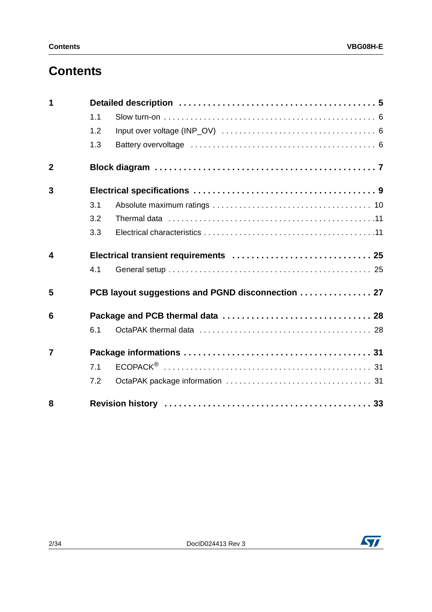# **Contents**

| 1              |     |                                                   |  |  |  |
|----------------|-----|---------------------------------------------------|--|--|--|
|                | 1.1 |                                                   |  |  |  |
|                | 1.2 |                                                   |  |  |  |
|                | 1.3 |                                                   |  |  |  |
| $\overline{2}$ |     |                                                   |  |  |  |
| 3              |     |                                                   |  |  |  |
|                | 3.1 |                                                   |  |  |  |
|                | 3.2 |                                                   |  |  |  |
|                | 3.3 |                                                   |  |  |  |
| 4              |     | Electrical transient requirements  25             |  |  |  |
|                | 4.1 |                                                   |  |  |  |
| 5              |     | PCB layout suggestions and PGND disconnection  27 |  |  |  |
| 6              |     |                                                   |  |  |  |
|                | 6.1 |                                                   |  |  |  |
| $\overline{7}$ |     |                                                   |  |  |  |
|                | 7.1 |                                                   |  |  |  |
|                | 7.2 |                                                   |  |  |  |
| 8              |     |                                                   |  |  |  |

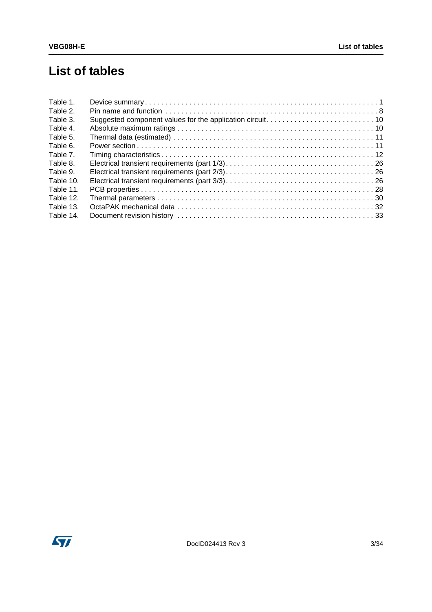# **List of tables**

| Table 1.  |  |
|-----------|--|
| Table 2.  |  |
| Table 3.  |  |
| Table 4.  |  |
| Table 5.  |  |
| Table 6.  |  |
| Table 7.  |  |
| Table 8.  |  |
| Table 9.  |  |
| Table 10. |  |
| Table 11. |  |
| Table 12. |  |
| Table 13. |  |
| Table 14. |  |

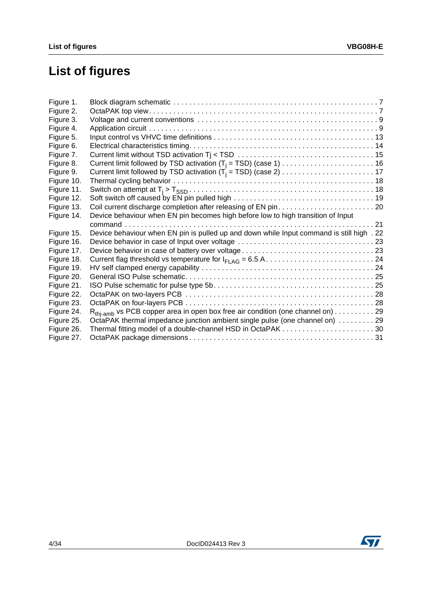# **List of figures**

| Device behaviour when EN pin becomes high before low to high transition of Input |                                                                                                                                                                                                                                                                  |
|----------------------------------------------------------------------------------|------------------------------------------------------------------------------------------------------------------------------------------------------------------------------------------------------------------------------------------------------------------|
|                                                                                  |                                                                                                                                                                                                                                                                  |
|                                                                                  |                                                                                                                                                                                                                                                                  |
|                                                                                  |                                                                                                                                                                                                                                                                  |
|                                                                                  |                                                                                                                                                                                                                                                                  |
|                                                                                  |                                                                                                                                                                                                                                                                  |
|                                                                                  |                                                                                                                                                                                                                                                                  |
|                                                                                  |                                                                                                                                                                                                                                                                  |
|                                                                                  |                                                                                                                                                                                                                                                                  |
|                                                                                  |                                                                                                                                                                                                                                                                  |
|                                                                                  |                                                                                                                                                                                                                                                                  |
|                                                                                  |                                                                                                                                                                                                                                                                  |
|                                                                                  |                                                                                                                                                                                                                                                                  |
|                                                                                  |                                                                                                                                                                                                                                                                  |
|                                                                                  |                                                                                                                                                                                                                                                                  |
|                                                                                  | Device behaviour when EN pin is pulled up and down while Input command is still high . 22<br>$R_{thi-amb}$ vs PCB copper area in open box free air condition (one channel on) 29<br>OctaPAK thermal impedance junction ambient single pulse (one channel on)  29 |

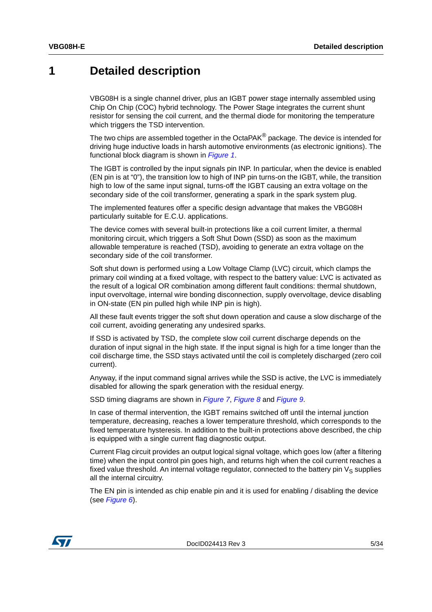## <span id="page-4-0"></span>**1 Detailed description**

VBG08H is a single channel driver, plus an IGBT power stage internally assembled using Chip On Chip (COC) hybrid technology. The Power Stage integrates the current shunt resistor for sensing the coil current, and the thermal diode for monitoring the temperature which triggers the TSD intervention.

The two chips are assembled together in the OctaPAK<sup>®</sup> package. The device is intended for driving huge inductive loads in harsh automotive environments (as electronic ignitions). The functional block diagram is shown in *[Figure 1](#page-6-1)*.

The IGBT is controlled by the input signals pin INP. In particular, when the device is enabled (EN pin is at "0"), the transition low to high of INP pin turns-on the IGBT, while, the transition high to low of the same input signal, turns-off the IGBT causing an extra voltage on the secondary side of the coil transformer, generating a spark in the spark system plug.

The implemented features offer a specific design advantage that makes the VBG08H particularly suitable for E.C.U. applications.

The device comes with several built-in protections like a coil current limiter, a thermal monitoring circuit, which triggers a Soft Shut Down (SSD) as soon as the maximum allowable temperature is reached (TSD), avoiding to generate an extra voltage on the secondary side of the coil transformer.

Soft shut down is performed using a Low Voltage Clamp (LVC) circuit, which clamps the primary coil winding at a fixed voltage, with respect to the battery value: LVC is activated as the result of a logical OR combination among different fault conditions: thermal shutdown, input overvoltage, internal wire bonding disconnection, supply overvoltage, device disabling in ON-state (EN pin pulled high while INP pin is high).

All these fault events trigger the soft shut down operation and cause a slow discharge of the coil current, avoiding generating any undesired sparks.

If SSD is activated by TSD, the complete slow coil current discharge depends on the duration of input signal in the high state. If the input signal is high for a time longer than the coil discharge time, the SSD stays activated until the coil is completely discharged (zero coil current).

Anyway, if the input command signal arrives while the SSD is active, the LVC is immediately disabled for allowing the spark generation with the residual energy.

SSD timing diagrams are shown in *[Figure 7](#page-14-0)*, *[Figure 8](#page-15-0)* and *[Figure 9](#page-16-0)*.

In case of thermal intervention, the IGBT remains switched off until the internal junction temperature, decreasing, reaches a lower temperature threshold, which corresponds to the fixed temperature hysteresis. In addition to the built-in protections above described, the chip is equipped with a single current flag diagnostic output.

Current Flag circuit provides an output logical signal voltage, which goes low (after a filtering time) when the input control pin goes high, and returns high when the coil current reaches a fixed value threshold. An internal voltage regulator, connected to the battery pin  $V_S$  supplies all the internal circuitry.

The EN pin is intended as chip enable pin and it is used for enabling / disabling the device (see *[Figure 6](#page-13-0)*).

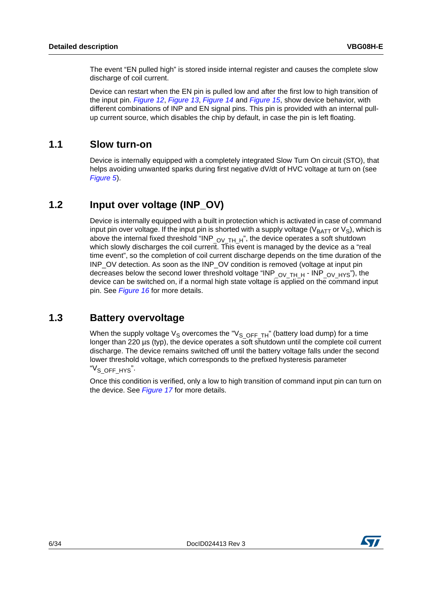The event "EN pulled high" is stored inside internal register and causes the complete slow discharge of coil current.

Device can restart when the EN pin is pulled low and after the first low to high transition of the input pin. *[Figure 12](#page-18-0)*, *[Figure 13](#page-19-0)*, *[Figure 14](#page-20-0)* and *[Figure 15](#page-21-0)*, show device behavior, with different combinations of INP and EN signal pins. This pin is provided with an internal pullup current source, which disables the chip by default, in case the pin is left floating.

### <span id="page-5-0"></span>**1.1 Slow turn-on**

Device is internally equipped with a completely integrated Slow Turn On circuit (STO), that helps avoiding unwanted sparks during first negative dV/dt of HVC voltage at turn on (see *[Figure 5](#page-12-0)*).

### <span id="page-5-1"></span>**1.2 Input over voltage (INP\_OV)**

Device is internally equipped with a built in protection which is activated in case of command input pin over voltage. If the input pin is shorted with a supply voltage ( $V_{BATT}$  or  $V_S$ ), which is above the internal fixed threshold "INP  $_{\text{OVTH H}}$ ", the device operates a soft shutdown which slowly discharges the coil current. This event is managed by the device as a "real time event", so the completion of coil current discharge depends on the time duration of the INP\_OV detection. As soon as the INP\_OV condition is removed (voltage at input pin decreases below the second lower threshold voltage "INP  $_{\text{OV TH H}}$  - INP  $_{\text{OV HYS}}$ "), the device can be switched on, if a normal high state voltage is applied on the command input pin. See *[Figure 16](#page-22-0)* for more details.

### <span id="page-5-2"></span>**1.3 Battery overvoltage**

When the supply voltage  $V_S$  overcomes the "V<sub>S</sub> OFF TH" (battery load dump) for a time longer than 220  $\mu$ s (typ), the device operates a soft shutdown until the complete coil current discharge. The device remains switched off until the battery voltage falls under the second lower threshold voltage, which corresponds to the prefixed hysteresis parameter "V<sub>S</sub> OFF HYS".

Once this condition is verified, only a low to high transition of command input pin can turn on the device. See *[Figure 17](#page-22-1)* for more details.

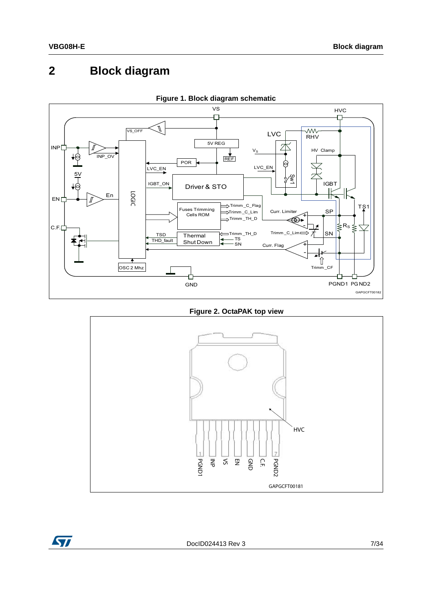# <span id="page-6-0"></span>**2 Block diagram**

<span id="page-6-1"></span>

**Figure 1. Block diagram schematic**

**Figure 2. OctaPAK top view**

<span id="page-6-2"></span>

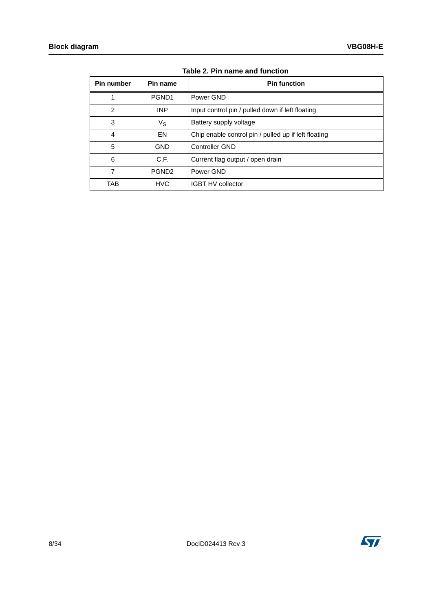<span id="page-7-0"></span>

| Pin number | Pin name          | <b>Pin function</b>                                  |
|------------|-------------------|------------------------------------------------------|
| 1          | PGND <sub>1</sub> | Power GND                                            |
| 2          | <b>INP</b>        | Input control pin / pulled down if left floating     |
| 3          | $V_{\rm S}$       | Battery supply voltage                               |
| 4          | EN                | Chip enable control pin / pulled up if left floating |
| 5          | <b>GND</b>        | <b>Controller GND</b>                                |
| 6          | C.F.              | Current flag output / open drain                     |
| 7          | PGND <sub>2</sub> | Power GND                                            |
| TAB        | <b>HVC</b>        | <b>IGBT HV collector</b>                             |

**Table 2. Pin name and function**

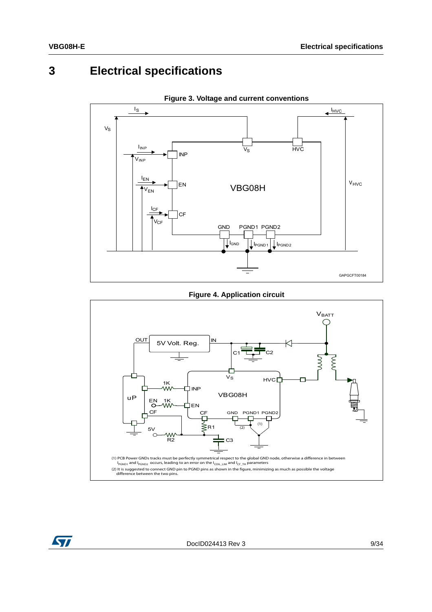#### <span id="page-8-0"></span>**Electrical specifications**  $\overline{3}$

<span id="page-8-1"></span>

Figure 3. Voltage and current conventions

**Figure 4. Application circuit** 

<span id="page-8-2"></span>

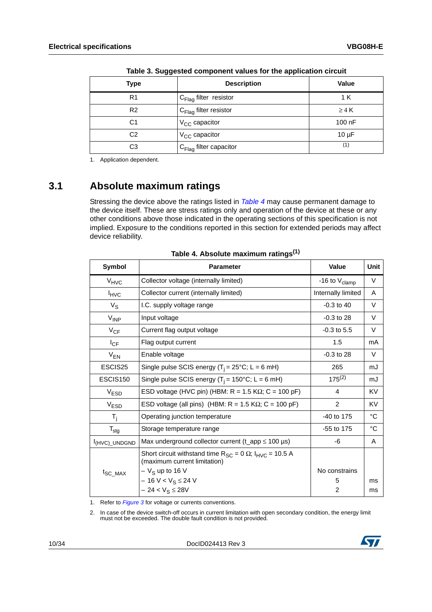<span id="page-9-1"></span>

| Type           | <b>Description</b>                 | Value      |
|----------------|------------------------------------|------------|
| R <sub>1</sub> | $C_{\text{Flag}}$ filter resistor  | 1 K        |
| R <sub>2</sub> | C <sub>Flag</sub> filter resistor  | $\geq 4$ K |
| C1             | V <sub>CC</sub> capacitor          | $100$ nF   |
| C <sub>2</sub> | V <sub>CC</sub> capacitor          | $10 \mu F$ |
| CЗ             | $C_{\text{Flag}}$ filter capacitor | (1)        |

**Table 3. Suggested component values for the application circuit**

1. Application dependent.

### <span id="page-9-0"></span>**3.1 Absolute maximum ratings**

Stressing the device above the ratings listed in *[Table 4](#page-9-2)* may cause permanent damage to the device itself. These are stress ratings only and operation of the device at these or any other conditions above those indicated in the operating sections of this specification is not implied. Exposure to the conditions reported in this section for extended periods may affect device reliability.

<span id="page-9-2"></span>

| Symbol                    | <b>Parameter</b>                                                                                                          | Value                     | <b>Unit</b> |
|---------------------------|---------------------------------------------------------------------------------------------------------------------------|---------------------------|-------------|
| $V_{HVC}$                 | Collector voltage (internally limited)                                                                                    | -16 to $V_{\text{clamp}}$ | V           |
| $I_{HVC}$                 | Collector current (internally limited)                                                                                    | Internally limited        | A           |
| $V_S$                     | I.C. supply voltage range                                                                                                 | $-0.3$ to 40              | V           |
| $V_{\text{INP}}$          | Input voltage                                                                                                             | $-0.3$ to 28              | V           |
| $V_{CF}$                  | Current flag output voltage                                                                                               | $-0.3$ to 5.5             | V           |
| $I_{CF}$                  | Flag output current                                                                                                       | 1.5                       | mA          |
| $V_{EN}$                  | Enable voltage                                                                                                            | $-0.3$ to 28              | V           |
| ESCIS25                   | Single pulse SCIS energy ( $T_i = 25$ °C; L = 6 mH)                                                                       | 265                       | mJ          |
| ESCIS <sub>150</sub>      | Single pulse SCIS energy ( $T_i$ = 150°C; L = 6 mH)                                                                       | $175^{(2)}$               | mJ          |
| $V_{ESD}$                 | ESD voltage (HVC pin) (HBM: $R = 1.5$ K $\Omega$ ; C = 100 pF)                                                            | 4                         | KV          |
| V <sub>ESD</sub>          | ESD voltage (all pins) (HBM: $R = 1.5$ K $\Omega$ ; C = 100 pF)                                                           | 2                         | KV          |
| $T_i$                     | Operating junction temperature                                                                                            |                           | $^{\circ}C$ |
| $\mathsf{T}_{\text{stg}}$ | Storage temperature range                                                                                                 | -55 to 175                | °C          |
| <sup>I</sup> (HVC) UNDGND | Max underground collector current (t_app $\leq 100 \text{ }\mu\text{s}$ )                                                 | -6                        | A           |
| t <sub>SC_MAX</sub>       | Short circuit withstand time $R_{SC} = 0 \Omega$ ; $I_{HVC} = 10.5 A$<br>(maximum current limitation)<br>$-VS$ up to 16 V | No constrains             |             |
|                           | $-16 V < V_S \le 24 V$<br>$-24 < V_S \le 28V$                                                                             | 5<br>2                    | ms<br>ms    |

**Table 4. Absolute maximum ratings(1)**

1. Refer to *[Figure 3](#page-8-1)* for voltage or currents conventions.

2. In case of the device switch-off occurs in current limitation with open secondary condition, the energy limit must not be exceeded. The double fault condition is not provided.

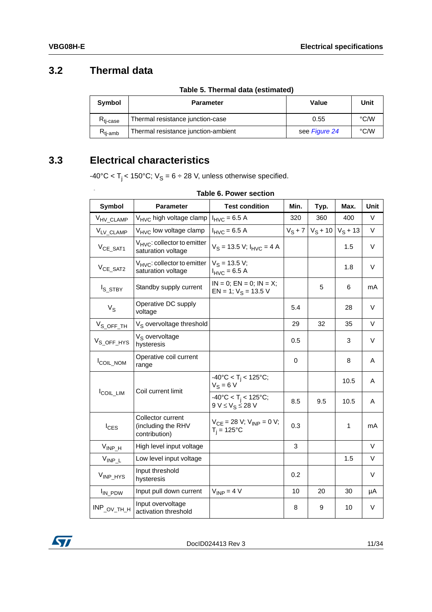## <span id="page-10-0"></span>**3.2 Thermal data**

<span id="page-10-3"></span>6:

|  | Table 5. Thermal data (estimated) |
|--|-----------------------------------|
|  |                                   |

<span id="page-10-2"></span>

| <b>Symbol</b>            | <b>Parameter</b>                    | Value         | Unit          |
|--------------------------|-------------------------------------|---------------|---------------|
| $R_{ti\text{-case}}$     | Thermal resistance junction-case    | 0.55          | $\degree$ C/W |
| $\kappa_{\text{ti-amb}}$ | Thermal resistance junction-ambient | see Figure 24 | °C/W          |

## <span id="page-10-1"></span>**3.3 Electrical characteristics**

 $-40\textdegree C < T_j < 150\textdegree C$ ;  $V_S = 6 \div 28$  V, unless otherwise specified.

#### **Table 6. Power section**

| <b>Symbol</b>         | <b>Parameter</b>                                         | <b>Test condition</b>                                                 | Min.      | Typ.       | Max.       | Unit   |
|-----------------------|----------------------------------------------------------|-----------------------------------------------------------------------|-----------|------------|------------|--------|
| V <sub>HV_CLAMP</sub> | V <sub>HVC</sub> high voltage clamp                      | $I_{HVC} = 6.5 A$                                                     | 320       | 360        | 400        | V      |
| VLV_CLAMP             | $V_{\text{HVC}}$ low voltage clamp                       | $I_{HVC} = 6.5 A$                                                     | $V_S + 7$ | $V_S + 10$ | $V_S + 13$ | V      |
| $V_{CE\_SAT1}$        | $V_{HVC}$ : collector to emitter<br>saturation voltage   | $V_S = 13.5 V; I_{HVC} = 4 A$                                         |           |            | 1.5        | $\vee$ |
| $V_{CE\_SAT2}$        | $V_{HVC}$ : collector to emitter<br>saturation voltage   | $V_S = 13.5 V;$<br>$I_{HVC} = 6.5 A$                                  |           |            | 1.8        | $\vee$ |
| I <sub>S_STBY</sub>   | Standby supply current                                   | $IN = 0$ ; $EN = 0$ ; $IN = X$ ;<br>EN = 1; $V_S$ = 13.5 V            |           | 5          | 6          | mA     |
| $V_S$                 | Operative DC supply<br>voltage                           |                                                                       | 5.4       |            | 28         | $\vee$ |
| $V_{S\_OFF\_TH}$      | V <sub>S</sub> overvoltage threshold                     |                                                                       | 29        | 32         | 35         | $\vee$ |
| $V_{S\_OFF\_HYS}$     | $V_S$ overvoltage<br>hysteresis                          |                                                                       | 0.5       |            | 3          | V      |
| <b>ICOIL_NOM</b>      | Operative coil current<br>range                          |                                                                       | 0         |            | 8          | A      |
|                       | Coil current limit                                       | $-40^{\circ}$ C < T <sub>i</sub> < 125°C;<br>$V_S = 6 V$              |           |            | 10.5       | A      |
| <b>ICOIL_LIM</b>      |                                                          | $-40^{\circ}$ C < T <sub>i</sub> < 125°C;<br>$9 V \leq V_S \leq 28 V$ | 8.5       | 9.5        | 10.5       | A      |
| $I_{CES}$             | Collector current<br>(including the RHV<br>contribution) | $V_{CE} = 28 V$ ; $V_{INP} = 0 V$ ;<br>$T_i = 125$ °C                 | 0.3       |            | 1          | mA     |
| $V_{INP_H}$           | High level input voltage                                 |                                                                       | 3         |            |            | V      |
| $V_{INP\_L}$          | Low level input voltage                                  |                                                                       |           |            | 1.5        | V      |
| V <sub>INP_HYS</sub>  | Input threshold<br>hysteresis                            |                                                                       | 0.2       |            |            | $\vee$ |
| I <sub>IN_PDW</sub>   | Input pull down current                                  | $V_{INP} = 4 V$                                                       | 10        | 20         | 30         | μA     |
| $INP_{OV\_TH\_H}$     | Input overvoltage<br>activation threshold                |                                                                       | 8         | 9          | 10         | $\vee$ |

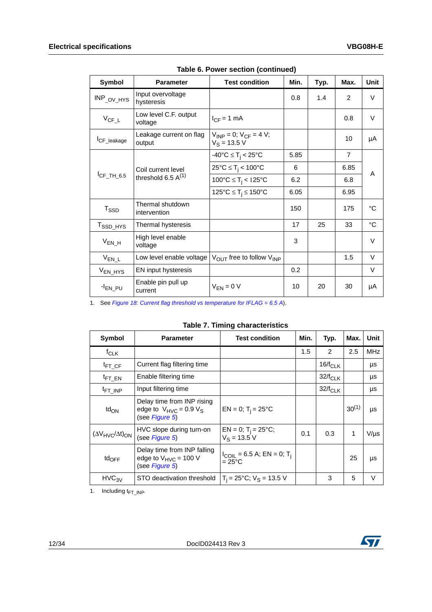| Symbol                  | <b>Parameter</b>                              | <b>Test condition</b>                              | Min. | Typ. | Max.           | Unit        |
|-------------------------|-----------------------------------------------|----------------------------------------------------|------|------|----------------|-------------|
| $INP_{OV_HYS}$          | Input overvoltage<br>hysteresis               |                                                    | 0.8  | 1.4  | $\overline{2}$ | V           |
| $V_{CF\_L}$             | Low level C.F. output<br>voltage              | $I_{CF} = 1$ mA                                    |      |      | 0.8            | $\vee$      |
| I <sub>CF_leakage</sub> | Leakage current on flag<br>output             | $V_{INP} = 0$ ; $V_{CF} = 4 V$ ;<br>$V_S = 13.5 V$ |      |      | 10             | μA          |
|                         |                                               | $-40^{\circ}C \leq T_i < 25^{\circ}C$              | 5.85 |      | $\overline{7}$ |             |
|                         | Coil current level<br>threshold 6.5 $A^{(1)}$ | $25^{\circ}C \leq T_i < 100^{\circ}C$              | 6    |      | 6.85           | A           |
| $I_{CF\_TH\_6.5}$       |                                               | 100°C $\leq T_i < 125$ °C                          | 6.2  |      | 6.8            |             |
|                         |                                               | 125°C $\leq$ T <sub>i</sub> $\leq$ 150°C           | 6.05 |      | 6.95           |             |
| $T_{\text{SSD}}$        | Thermal shutdown<br>intervention              |                                                    | 150  |      | 175            | $^{\circ}C$ |
| T <sub>SSD_HYS</sub>    | Thermal hysteresis                            |                                                    | 17   | 25   | 33             | $^{\circ}C$ |
| $V_{EN_H}$              | High level enable<br>voltage                  |                                                    | 3    |      |                | $\vee$      |
| $V_{EN\_L}$             | Low level enable voltage                      | V <sub>OUT</sub> free to follow V <sub>INP</sub>   |      |      | 1.5            | $\vee$      |
| V <sub>EN_HYS</sub>     | EN input hysteresis                           |                                                    | 0.2  |      |                | V           |
| -I <sub>EN_PU</sub>     | Enable pin pull up<br>current                 | $V_{FN} = 0 V$                                     | 10   | 20   | 30             | μA          |

**Table 6. Power section (continued)**

1. See *[Figure 18: Current flag threshold vs temperature for IFLAG = 6.5 A](#page-23-0)*).

|  |  |  | <b>Table 7. Timing characteristics</b> |
|--|--|--|----------------------------------------|
|--|--|--|----------------------------------------|

<span id="page-11-0"></span>

| <b>Symbol</b>                    | <b>Parameter</b>                                                            | <b>Test condition</b>                             | Min. | Typ.          | Max.       | Unit       |
|----------------------------------|-----------------------------------------------------------------------------|---------------------------------------------------|------|---------------|------------|------------|
| $f_{CLK}$                        |                                                                             |                                                   | 1.5  | $\mathcal{P}$ | 2.5        | <b>MHz</b> |
| $t_{\mathsf{FT\_CF}}$            | Current flag filtering time                                                 |                                                   |      | $16/f_{CLK}$  |            | μs         |
| $t_{\text{FT\_EN}}$              | Enable filtering time                                                       |                                                   |      | $32/f_{CLK}$  |            | μs         |
| <sup>t</sup> FT_INP              | Input filtering time                                                        |                                                   |      | $32/f_{CLK}$  |            | μs         |
| td <sub>ON</sub>                 | Delay time from INP rising<br>edge to $V_{HVC} = 0.9 V_S$<br>(see Figure 5) | $EN = 0$ ; T <sub>i</sub> = 25°C                  |      |               | $30^{(1)}$ | μs         |
| $(\Delta V_{HVC}/\Delta t)_{ON}$ | HVC slope during turn-on<br>(see Figure 5)                                  | EN = 0; T <sub>i</sub> = 25°C;<br>$V_S = 13.5 V$  | 0.1  | 0.3           |            | $V/\mu s$  |
| $td_{OFF}$                       | Delay time from INP falling<br>edge to $V_{HVC}$ = 100 V<br>(see Figure 5)  | $I_{COLL} = 6.5 A; EN = 0; T_i$<br>$=25^{\circ}C$ |      |               | 25         | μs         |
| HVC <sub>3V</sub>                | STO deactivation threshold                                                  | $T_i = 25^{\circ}C$ ; $V_S = 13.5 V$              |      | 3             | 5          | $\vee$     |

1. Including  $t_{FT~\text{INP}}$ 

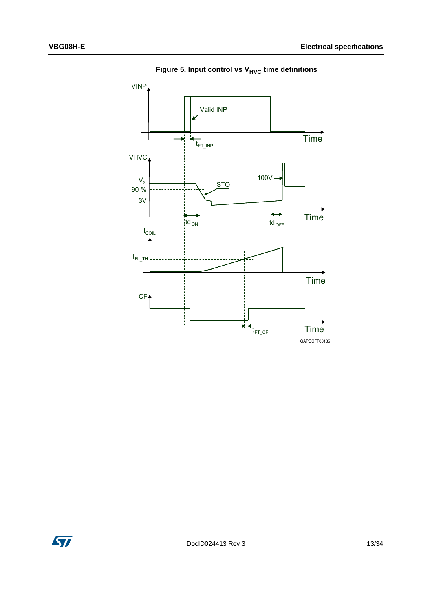<span id="page-12-0"></span>

**Figure 5. Input control vs V<sub>HVC</sub> time definitions** 

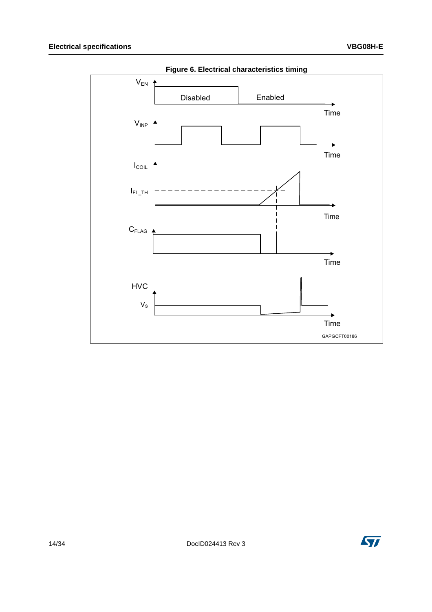<span id="page-13-0"></span>

Figure 6. Electrical characteristics timing

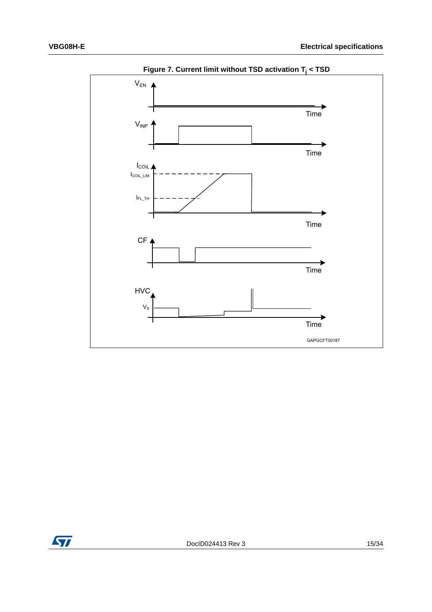<span id="page-14-0"></span>

**Figure 7. Current limit without TSD activation Tj < TSD**

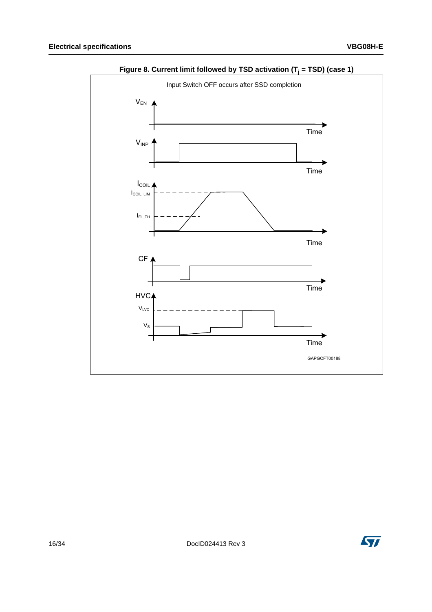<span id="page-15-0"></span>

Figure 8. Current limit followed by TSD activation (T<sub>j</sub> = TSD) (case 1)

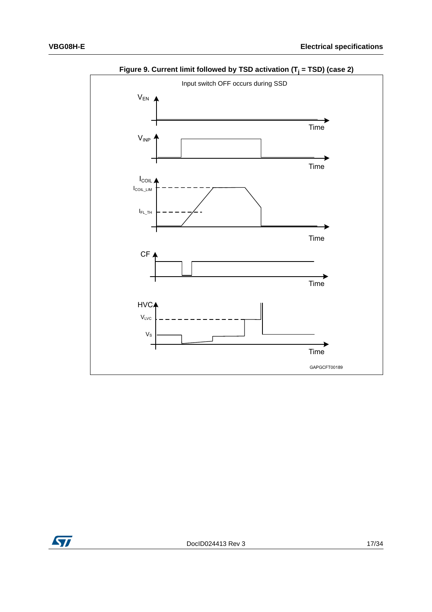<span id="page-16-0"></span>

**Figure 9. Current limit followed by TSD activation (Tj = TSD) (case 2)**

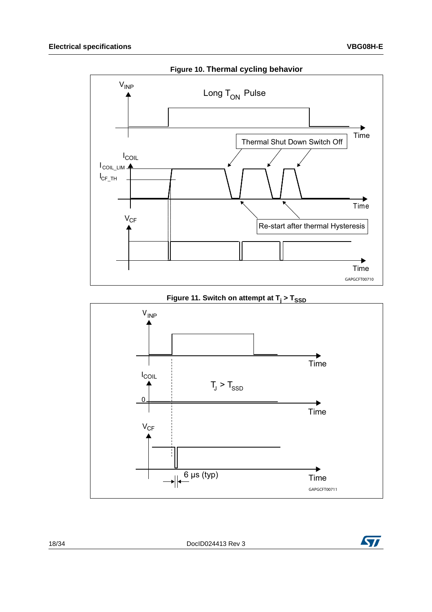<span id="page-17-0"></span>

<span id="page-17-1"></span>

Figure 11. Switch on attempt at  $T_i$  >  $T_{SSD}$ 

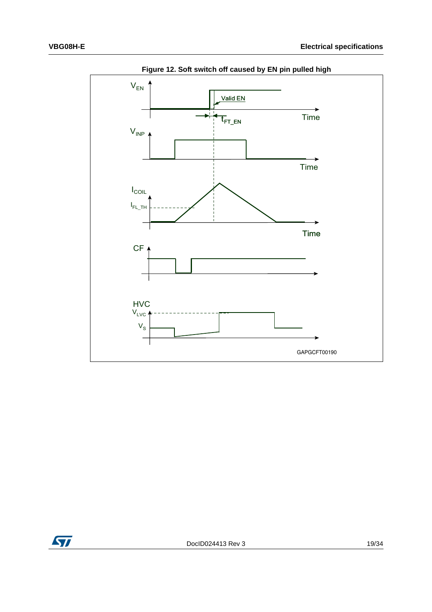<span id="page-18-0"></span>

**Figure 12. Soft switch off caused by EN pin pulled high**

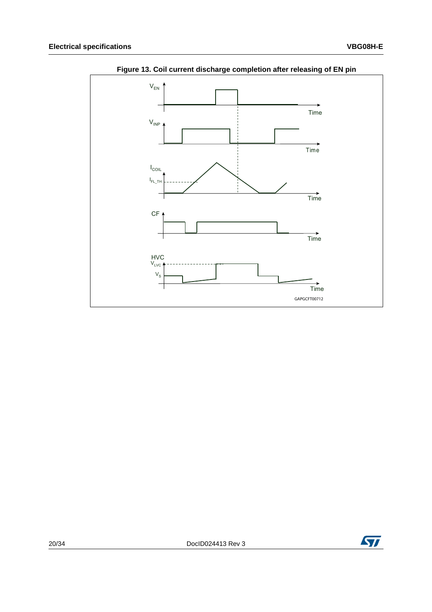<span id="page-19-0"></span>

Figure 13. Coil current discharge completion after releasing of EN pin

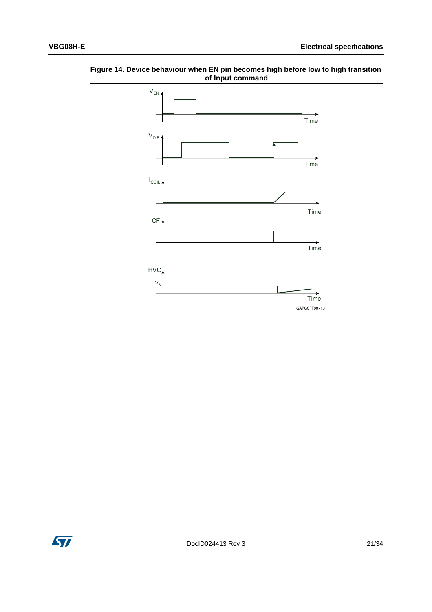

<span id="page-20-0"></span>Figure 14. Device behaviour when EN pin becomes high before low to high transition of Input command

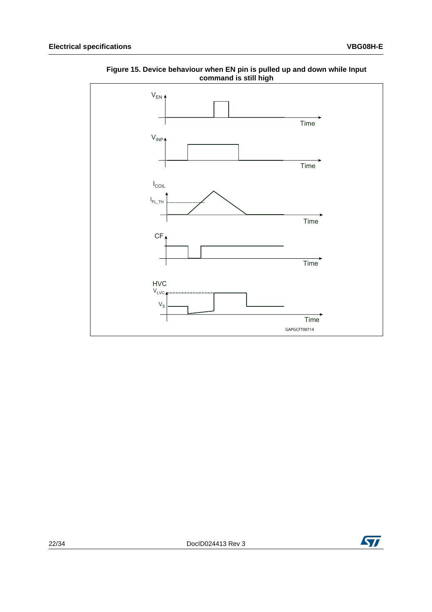

<span id="page-21-0"></span>**Figure 15. Device behaviour when EN pin is pulled up and down while Input command is still high**

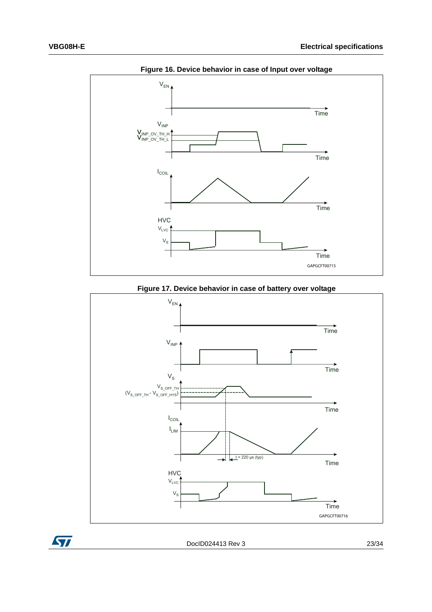<span id="page-22-0"></span>

**Figure 16. Device behavior in case of Input over voltage**

**Figure 17. Device behavior in case of battery over voltage**

<span id="page-22-1"></span>

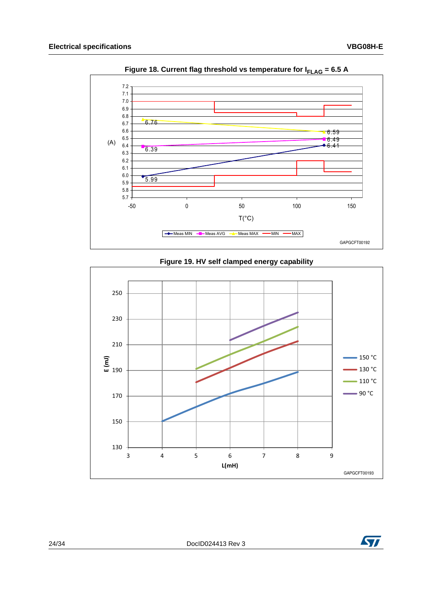<span id="page-23-0"></span>

Figure 18. Current flag threshold vs temperature for  $I_{\text{FLAG}}$  = 6.5 A

<span id="page-23-1"></span>

#### Figure 19. HV self clamped energy capability

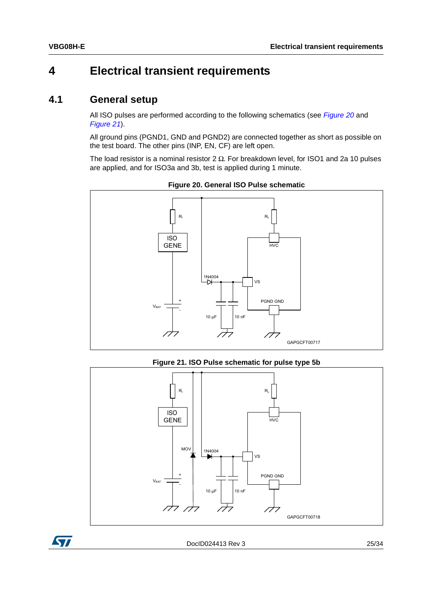# <span id="page-24-0"></span>**4 Electrical transient requirements**

### <span id="page-24-1"></span>**4.1 General setup**

All ISO pulses are performed according to the following schematics (see *[Figure 20](#page-24-2)* and *[Figure 21](#page-24-3)*).

All ground pins (PGND1, GND and PGND2) are connected together as short as possible on the test board. The other pins (INP, EN, CF) are left open.

The load resistor is a nominal resistor 2  $\Omega$ . For breakdown level, for ISO1 and 2a 10 pulses are applied, and for ISO3a and 3b, test is applied during 1 minute.

<span id="page-24-2"></span>

**Figure 20. General ISO Pulse schematic**

**Figure 21. ISO Pulse schematic for pulse type 5b**

<span id="page-24-3"></span>

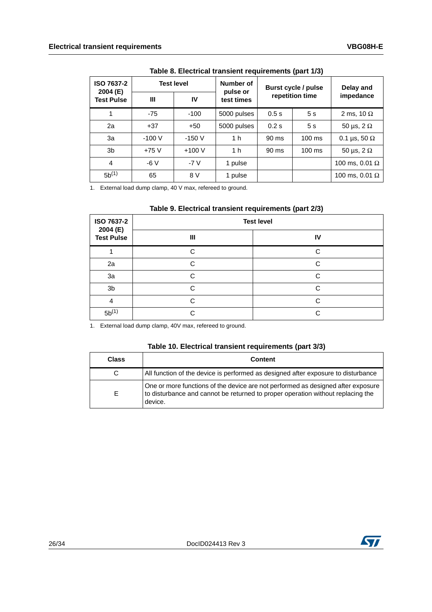<span id="page-25-0"></span>

| ISO 7637-2<br>2004 (E) | <b>Test level</b> |         | Number of<br>pulse or | Burst cycle / pulse |                  | Delay and             |  |
|------------------------|-------------------|---------|-----------------------|---------------------|------------------|-----------------------|--|
| <b>Test Pulse</b>      | Ш                 | IV      | test times            |                     | repetition time  | impedance             |  |
|                        | $-75$             | $-100$  | 5000 pulses           | 0.5s                | 5s               | 2 ms, 10 $\Omega$     |  |
| 2a                     | $+37$             | $+50$   | 5000 pulses           | 0.2 s               | 5s               | 50 µs, $2 \Omega$     |  |
| 3a                     | $-100V$           | $-150V$ | 1 <sub>h</sub>        | 90 ms               | $100 \text{ ms}$ | 0.1 µs, 50 $\Omega$   |  |
| 3 <sub>b</sub>         | $+75V$            | $+100V$ | 1 <sub>h</sub>        | 90 ms               | $100 \text{ ms}$ | 50 µs, $2 \Omega$     |  |
| $\overline{4}$         | $-6V$             | $-7V$   | 1 pulse               |                     |                  | 100 ms, 0.01 $\Omega$ |  |
| $5b^{(1)}$             | 65                | 8 V     | 1 pulse               |                     |                  | 100 ms, 0.01 $\Omega$ |  |

**Table 8. Electrical transient requirements (part 1/3)**

1. External load dump clamp, 40 V max, refereed to ground.

<span id="page-25-1"></span>

| ISO 7637-2<br>2004 (E)<br><b>Test Pulse</b> | <b>Test level</b> |    |  |
|---------------------------------------------|-------------------|----|--|
|                                             | Ш                 | IV |  |
|                                             | ⌒                 | ⌒  |  |
| 2a                                          | ⌒                 | ⌒  |  |
| 3a                                          | ⌒                 | ⌒  |  |
| 3 <sub>b</sub>                              | ⌒                 | ⌒  |  |
| 4                                           | ⌒                 | ⌒  |  |
| $5b^{(1)}$                                  | ⌒                 | ⌒  |  |

1. External load dump clamp, 40V max, refereed to ground.

#### **Table 10. Electrical transient requirements (part 3/3)**

<span id="page-25-2"></span>

| <b>Class</b> | <b>Content</b>                                                                                                                                                                 |
|--------------|--------------------------------------------------------------------------------------------------------------------------------------------------------------------------------|
| C            | All function of the device is performed as designed after exposure to disturbance                                                                                              |
| Е            | One or more functions of the device are not performed as designed after exposure<br>to disturbance and cannot be returned to proper operation without replacing the<br>device. |

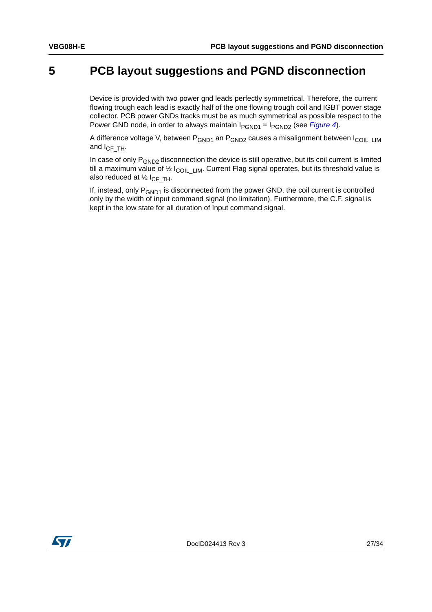## <span id="page-26-0"></span>**5 PCB layout suggestions and PGND disconnection**

Device is provided with two power gnd leads perfectly symmetrical. Therefore, the current flowing trough each lead is exactly half of the one flowing trough coil and IGBT power stage collector. PCB power GNDs tracks must be as much symmetrical as possible respect to the Power GND node, in order to always maintain I<sub>PGND1</sub> = I<sub>PGND2</sub> (see *[Figure 4](#page-8-2)*).

A difference voltage V, between P<sub>GND1</sub> an P<sub>GND2</sub> causes a misalignment between I<sub>COIL\_LIM</sub> and  $I_{CF~TH}$ .

In case of only  $P_{GND2}$  disconnection the device is still operative, but its coil current is limited till a maximum value of  $\frac{1}{2}$  I<sub>COILLIM</sub>. Current Flag signal operates, but its threshold value is also reduced at  $\frac{1}{2} I_{CF\_TH}$ .

If, instead, only  $P_{GND1}$  is disconnected from the power GND, the coil current is controlled only by the width of input command signal (no limitation). Furthermore, the C.F. signal is kept in the low state for all duration of Input command signal.

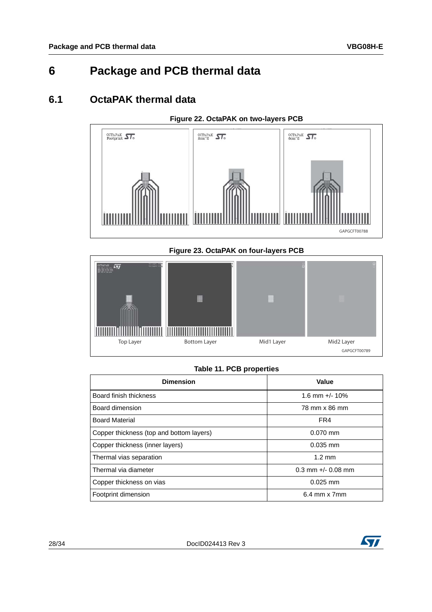# <span id="page-27-0"></span>**6 Package and PCB thermal data**

## <span id="page-27-1"></span>**6.1 OctaPAK thermal data**

#### **Figure 22. OctaPAK on two-layers PCB**

<span id="page-27-3"></span>

#### **Figure 23. OctaPAK on four-layers PCB**

<span id="page-27-4"></span>

#### **Table 11. PCB properties**

<span id="page-27-2"></span>

| <b>Dimension</b>                         | Value                  |  |
|------------------------------------------|------------------------|--|
| Board finish thickness                   | 1.6 mm $+/- 10\%$      |  |
| Board dimension                          | 78 mm x 86 mm          |  |
| <b>Board Material</b>                    | FR4                    |  |
| Copper thickness (top and bottom layers) | $0.070$ mm             |  |
| Copper thickness (inner layers)          | $0.035$ mm             |  |
| Thermal vias separation                  | $1.2 \text{ mm}$       |  |
| Thermal via diameter                     | $0.3$ mm $+/-$ 0.08 mm |  |
| Copper thickness on vias                 | $0.025$ mm             |  |
| Footprint dimension                      | 6.4 mm x 7mm           |  |

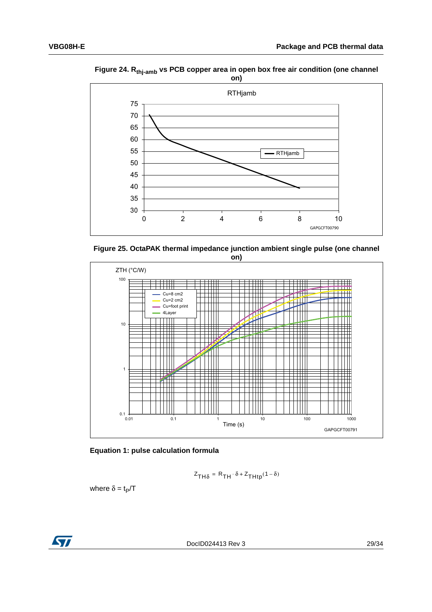<span id="page-28-0"></span>Figure 24. R<sub>thj-amb</sub> vs PCB copper area in open box free air condition (one channel on)



<span id="page-28-1"></span>



Equation 1: pulse calculation formula

$$
Z_{TH\delta} = R_{TH} \cdot \delta + Z_{THtp}(1 - \delta)
$$

where  $\delta = t_P/T$ 

**S7**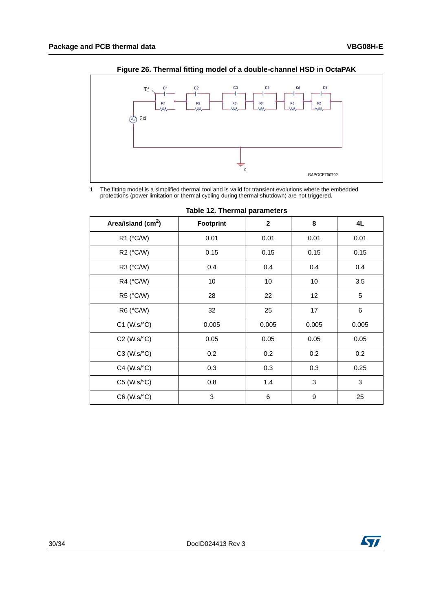<span id="page-29-1"></span>

**Figure 26. Thermal fitting model of a double-channel HSD in OctaPAK** 

1. The fitting model is a simplified thermal tool and is valid for transient evolutions where the embedded protections (power limitation or thermal cycling during thermal shutdown) are not triggered.

<span id="page-29-0"></span>

| Area/island (cm <sup>2</sup> ) | Footprint | $\mathbf{2}$ | 8                | 4L    |
|--------------------------------|-----------|--------------|------------------|-------|
| R1 (°C/W)                      | 0.01      | 0.01         | 0.01             | 0.01  |
| R2 (°C/W)                      | 0.15      | 0.15         | 0.15             | 0.15  |
| R3 (°C/W)                      | 0.4       | 0.4          | 0.4              | 0.4   |
| R4 (°C/W)                      | 10        | 10           | 10               | 3.5   |
| R5 (°C/W)                      | 28        | 22           | 12               | 5     |
| R6 (°C/W)                      | 32        | 25           | 17               | 6     |
| $C1$ (W.s/ $°C$ )              | 0.005     | 0.005        | 0.005            | 0.005 |
| $C2$ (W.s/ $°C$ )              | 0.05      | 0.05         | 0.05             | 0.05  |
| $C3$ (W.s/ $°C$ )              | 0.2       | 0.2          | 0.2              | 0.2   |
| $C4$ (W.s/ $°C$ )              | 0.3       | 0.3          | 0.3              | 0.25  |
| $C5$ (W.s/ $°C$ )              | 0.8       | 1.4          | 3                | 3     |
| C6 (W.s/°C)                    | 3         | 6            | $\boldsymbol{9}$ | 25    |

|  |  |  | Table 12. Thermal parameters |
|--|--|--|------------------------------|
|--|--|--|------------------------------|

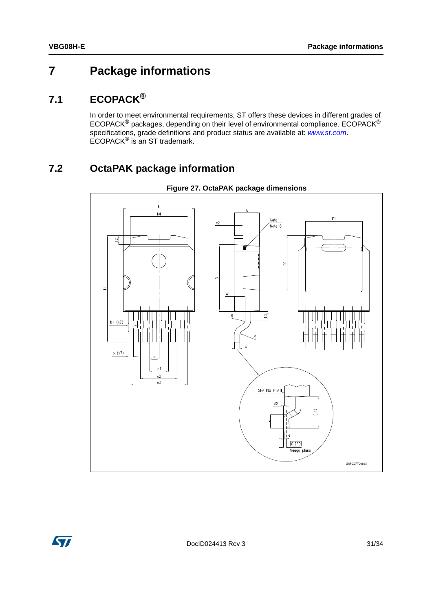# <span id="page-30-0"></span>**7 Package informations**

## <span id="page-30-1"></span>**7.1 ECOPACK®**

In order to meet environmental requirements, ST offers these devices in different grades of ECOPACK® packages, depending on their level of environmental compliance. ECOPACK® specifications, grade definitions and product status are available at: *[www.st.com](http://www.st.com)*. ECOPACK® is an ST trademark.

# <span id="page-30-2"></span>**7.2 OctaPAK package information**

<span id="page-30-3"></span>

#### **Figure 27. OctaPAK package dimensions**

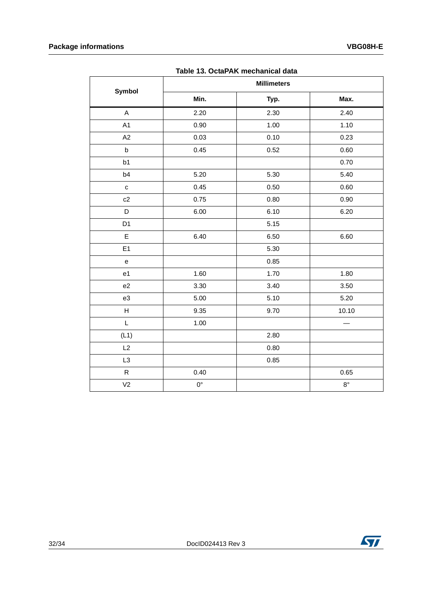<span id="page-31-0"></span>

| Table 15. OctaPAN mechanical data |                    |      |             |  |  |
|-----------------------------------|--------------------|------|-------------|--|--|
| <b>Symbol</b>                     | <b>Millimeters</b> |      |             |  |  |
|                                   | Min.               | Typ. | Max.        |  |  |
| $\boldsymbol{\mathsf{A}}$         | 2.20               | 2.30 | 2.40        |  |  |
| A1                                | 0.90               | 1.00 | 1.10        |  |  |
| A2                                | 0.03               | 0.10 | 0.23        |  |  |
| $\sf b$                           | 0.45               | 0.52 | 0.60        |  |  |
| b1                                |                    |      | 0.70        |  |  |
| b4                                | 5.20               | 5.30 | 5.40        |  |  |
| $\mathbf{C}$                      | 0.45               | 0.50 | 0.60        |  |  |
| c2                                | 0.75               | 0.80 | 0.90        |  |  |
| D                                 | 6.00               | 6.10 | 6.20        |  |  |
| D <sub>1</sub>                    |                    | 5.15 |             |  |  |
| E                                 | 6.40               | 6.50 | 6.60        |  |  |
| E1                                |                    | 5.30 |             |  |  |
| $\mathsf{e}% _{t}\left( t\right)$ |                    | 0.85 |             |  |  |
| e <sub>1</sub>                    | 1.60               | 1.70 | 1.80        |  |  |
| e <sub>2</sub>                    | 3.30               | 3.40 | 3.50        |  |  |
| e3                                | 5.00               | 5.10 | 5.20        |  |  |
| H                                 | 9.35               | 9.70 | 10.10       |  |  |
| L                                 | 1.00               |      |             |  |  |
| (L1)                              |                    | 2.80 |             |  |  |
| L2                                |                    | 0.80 |             |  |  |
| L3                                |                    | 0.85 |             |  |  |
| $\mathsf{R}$                      | 0.40               |      | 0.65        |  |  |
| V <sub>2</sub>                    | $0^{\circ}$        |      | $8^{\circ}$ |  |  |

**Table 13. OctaPAK mechanical data**

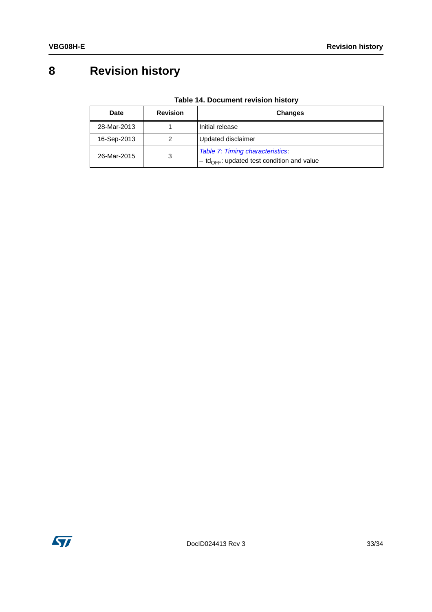# <span id="page-32-0"></span>**8 Revision history**

<span id="page-32-1"></span>

| Date             | <b>Revision</b> | <b>Changes</b>                                                                               |
|------------------|-----------------|----------------------------------------------------------------------------------------------|
| 28-Mar-2013      |                 | Initial release                                                                              |
| 16-Sep-2013      |                 | Updated disclaimer                                                                           |
| 26-Mar-2015<br>3 |                 | Table 7: Timing characteristics:<br>$-$ td <sub>OFF</sub> : updated test condition and value |

**Table 14. Document revision history**